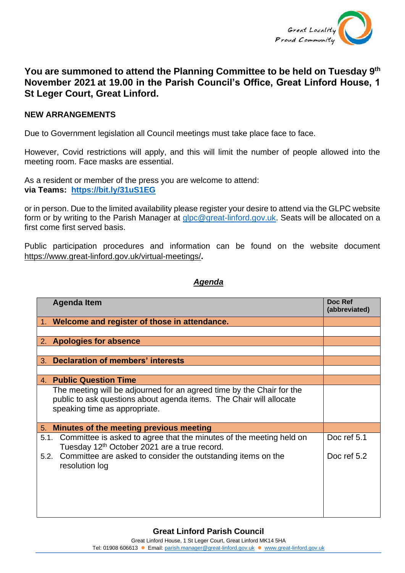

## **You are summoned to attend the Planning Committee to be held on Tuesday 9 th November 2021 at 19.00 in the Parish Council's Office, Great Linford House, 1 St Leger Court, Great Linford.**

## **NEW ARRANGEMENTS**

Due to Government legislation all Council meetings must take place face to face.

However, Covid restrictions will apply, and this will limit the number of people allowed into the meeting room. Face masks are essential.

As a resident or member of the press you are welcome to attend: **via Teams: <https://bit.ly/31uS1EG>**

or in person. Due to the limited availability please register your desire to attend via the GLPC website form or by writing to the Parish Manager at [glpc@great-linford.gov.uk.](mailto:glpc@great-linford.gov.uk) Seats will be allocated on a first come first served basis.

Public participation procedures and information can be found on the website document <https://www.great-linford.gov.uk/virtual-meetings/>**.**

## *Agenda*

| <b>Agenda Item</b>                                                                                                                                                            | Doc Ref<br>(abbreviated) |
|-------------------------------------------------------------------------------------------------------------------------------------------------------------------------------|--------------------------|
| 1. Welcome and register of those in attendance.                                                                                                                               |                          |
|                                                                                                                                                                               |                          |
| 2. Apologies for absence                                                                                                                                                      |                          |
|                                                                                                                                                                               |                          |
| Declaration of members' interests<br>3.                                                                                                                                       |                          |
|                                                                                                                                                                               |                          |
| 4. Public Question Time                                                                                                                                                       |                          |
| The meeting will be adjourned for an agreed time by the Chair for the<br>public to ask questions about agenda items. The Chair will allocate<br>speaking time as appropriate. |                          |
| Minutes of the meeting previous meeting<br>5.                                                                                                                                 |                          |
| Committee is asked to agree that the minutes of the meeting held on<br>5.1.<br>Tuesday 12 <sup>th</sup> October 2021 are a true record.                                       | Doc ref 5.1              |
| Committee are asked to consider the outstanding items on the<br>5.2.<br>resolution log                                                                                        | Doc ref 5.2              |